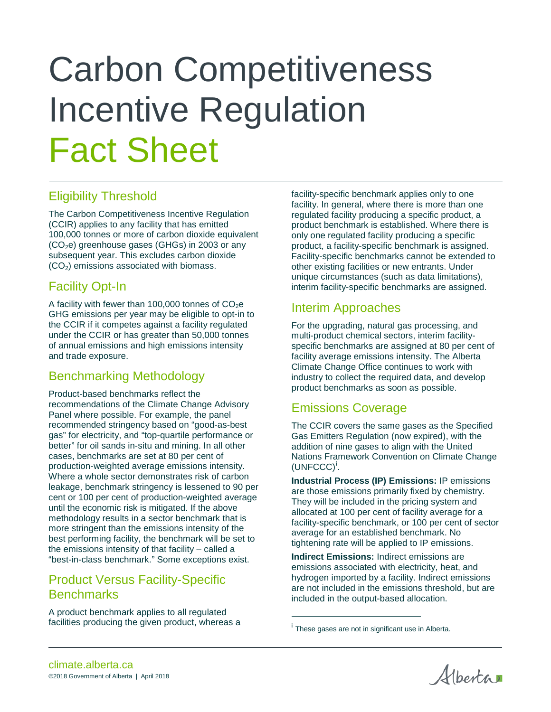# Carbon Competitiveness Incentive Regulation Fact Sheet

# Eligibility Threshold

The Carbon Competitiveness Incentive Regulation (CCIR) applies to any facility that has emitted 100,000 tonnes or more of carbon dioxide equivalent  $(CO<sub>2</sub>e)$  greenhouse gases (GHGs) in 2003 or any subsequent year. This excludes carbon dioxide  $(CO<sub>2</sub>)$  emissions associated with biomass.

# Facility Opt-In

A facility with fewer than 100,000 tonnes of  $CO<sub>2</sub>e$ GHG emissions per year may be eligible to opt-in to the CCIR if it competes against a facility regulated under the CCIR or has greater than 50,000 tonnes of annual emissions and high emissions intensity and trade exposure.

## Benchmarking Methodology

Product-based benchmarks reflect the recommendations of the Climate Change Advisory Panel where possible. For example, the panel recommended stringency based on "good-as-best gas" for electricity, and "top-quartile performance or better" for oil sands in-situ and mining. In all other cases, benchmarks are set at 80 per cent of production-weighted average emissions intensity. Where a whole sector demonstrates risk of carbon leakage, benchmark stringency is lessened to 90 per cent or 100 per cent of production-weighted average until the economic risk is mitigated. If the above methodology results in a sector benchmark that is more stringent than the emissions intensity of the best performing facility, the benchmark will be set to the emissions intensity of that facility – called a "best-in-class benchmark." Some exceptions exist.

## Product Versus Facility-Specific **Benchmarks**

<span id="page-0-0"></span>A product benchmark applies to all regulated facilities producing the given product, whereas a facility-specific benchmark applies only to one facility. In general, where there is more than one regulated facility producing a specific product, a product benchmark is established. Where there is only one regulated facility producing a specific product, a facility-specific benchmark is assigned. Facility-specific benchmarks cannot be extended to other existing facilities or new entrants. Under unique circumstances (such as data limitations), interim facility-specific benchmarks are assigned.

## Interim Approaches

For the upgrading, natural gas processing, and multi-product chemical sectors, interim facilityspecific benchmarks are assigned at 80 per cent of facility average emissions intensity. The Alberta Climate Change Office continues to work with industry to collect the required data, and develop product benchmarks as soon as possible.

## Emissions Coverage

The CCIR covers the same gases as the Specified Gas Emitters Regulation (now expired), with the addition of nine gases to align with the United Nations Framework Convention on Climate Change  $(UNFCCC)^i$  $(UNFCCC)^i$ .

**Industrial Process (IP) Emissions:** IP emissions are those emissions primarily fixed by chemistry. They will be included in the pricing system and allocated at 100 per cent of facility average for a facility-specific benchmark, or 100 per cent of sector average for an established benchmark. No tightening rate will be applied to IP emissions.

**Indirect Emissions:** Indirect emissions are emissions associated with electricity, heat, and hydrogen imported by a facility. Indirect emissions are not included in the emissions threshold, but are included in the output-based allocation.

 $\overline{a}$ 

Albertan

i These gases are not in significant use in Alberta.